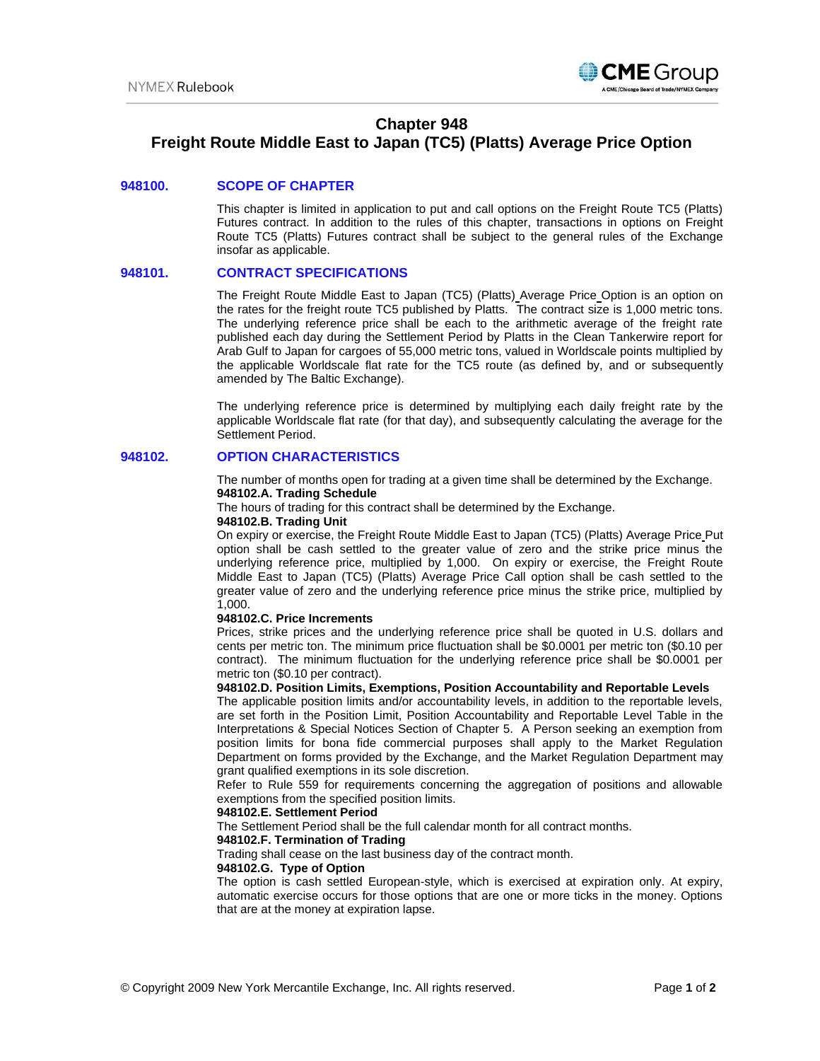

# **Chapter 948**

# **Freight Route Middle East to Japan (TC5) (Platts) Average Price Option**

#### **948100. SCOPE OF CHAPTER**

This chapter is limited in application to put and call options on the Freight Route TC5 (Platts) Futures contract. In addition to the rules of this chapter, transactions in options on Freight Route TC5 (Platts) Futures contract shall be subject to the general rules of the Exchange insofar as applicable.

#### **948101. CONTRACT SPECIFICATIONS**

The Freight Route Middle East to Japan (TC5) (Platts) Average Price Option is an option on the rates for the freight route TC5 published by Platts. The contract size is 1,000 metric tons. The underlying reference price shall be each to the arithmetic average of the freight rate published each day during the Settlement Period by Platts in the Clean Tankerwire report for Arab Gulf to Japan for cargoes of 55,000 metric tons, valued in Worldscale points multiplied by the applicable Worldscale flat rate for the TC5 route (as defined by, and or subsequently amended by The Baltic Exchange).

The underlying reference price is determined by multiplying each daily freight rate by the applicable Worldscale flat rate (for that day), and subsequently calculating the average for the Settlement Period.

## **948102. OPTION CHARACTERISTICS**

The number of months open for trading at a given time shall be determined by the Exchange. **948102.A. Trading Schedule** 

The hours of trading for this contract shall be determined by the Exchange.

## **948102.B. Trading Unit**

On expiry or exercise, the Freight Route Middle East to Japan (TC5) (Platts) Average Price Put option shall be cash settled to the greater value of zero and the strike price minus the underlying reference price, multiplied by 1,000. On expiry or exercise, the Freight Route Middle East to Japan (TC5) (Platts) Average Price Call option shall be cash settled to the greater value of zero and the underlying reference price minus the strike price, multiplied by 1,000.

#### **948102.C. Price Increments**

Prices, strike prices and the underlying reference price shall be quoted in U.S. dollars and cents per metric ton. The minimum price fluctuation shall be \$0.0001 per metric ton (\$0.10 per contract). The minimum fluctuation for the underlying reference price shall be \$0.0001 per metric ton (\$0.10 per contract).

# **948102.D. Position Limits, Exemptions, Position Accountability and Reportable Levels**

The applicable position limits and/or accountability levels, in addition to the reportable levels, are set forth in the Position Limit, Position Accountability and Reportable Level Table in the Interpretations & Special Notices Section of Chapter 5. A Person seeking an exemption from position limits for bona fide commercial purposes shall apply to the Market Regulation Department on forms provided by the Exchange, and the Market Regulation Department may grant qualified exemptions in its sole discretion.

Refer to Rule 559 for requirements concerning the aggregation of positions and allowable exemptions from the specified position limits.

#### **948102.E. Settlement Period**

The Settlement Period shall be the full calendar month for all contract months.

## **948102.F. Termination of Trading**

Trading shall cease on the last business day of the contract month.

#### **948102.G. Type of Option**

The option is cash settled European-style, which is exercised at expiration only. At expiry, automatic exercise occurs for those options that are one or more ticks in the money. Options that are at the money at expiration lapse.